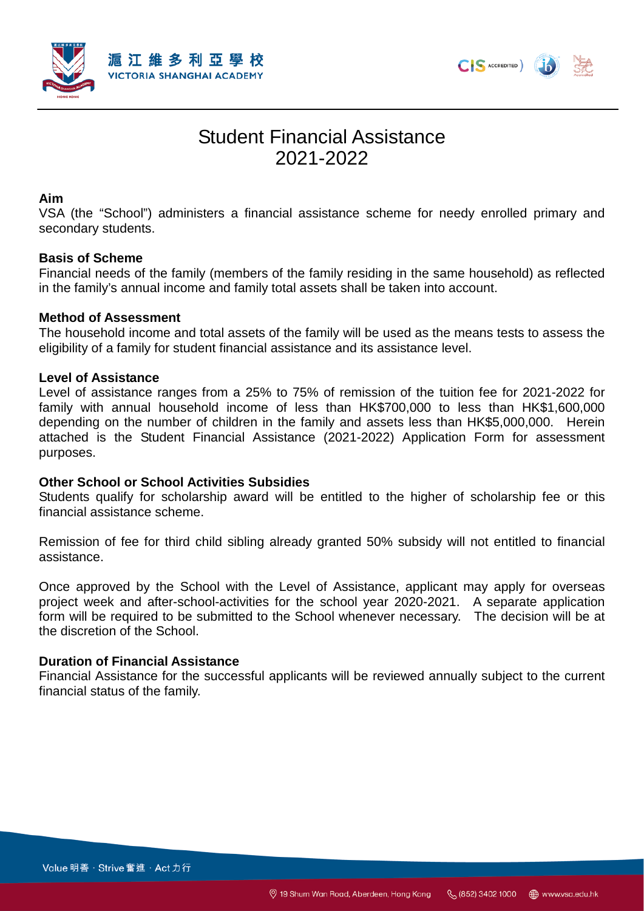



# Student Financial Assistance 2021-2022

#### **Aim**

VSA (the "School") administers a financial assistance scheme for needy enrolled primary and secondary students.

## **Basis of Scheme**

Financial needs of the family (members of the family residing in the same household) as reflected in the family's annual income and family total assets shall be taken into account.

## **Method of Assessment**

The household income and total assets of the family will be used as the means tests to assess the eligibility of a family for student financial assistance and its assistance level.

#### **Level of Assistance**

Level of assistance ranges from a 25% to 75% of remission of the tuition fee for 2021-2022 for family with annual household income of less than HK\$700,000 to less than HK\$1,600,000 depending on the number of children in the family and assets less than HK\$5,000,000. Herein attached is the Student Financial Assistance (2021-2022) Application Form for assessment purposes.

#### **Other School or School Activities Subsidies**

Students qualify for scholarship award will be entitled to the higher of scholarship fee or this financial assistance scheme.

Remission of fee for third child sibling already granted 50% subsidy will not entitled to financial assistance.

Once approved by the School with the Level of Assistance, applicant may apply for overseas project week and after-school-activities for the school year 2020-2021. A separate application form will be required to be submitted to the School whenever necessary. The decision will be at the discretion of the School.

#### **Duration of Financial Assistance**

Financial Assistance for the successful applicants will be reviewed annually subject to the current financial status of the family.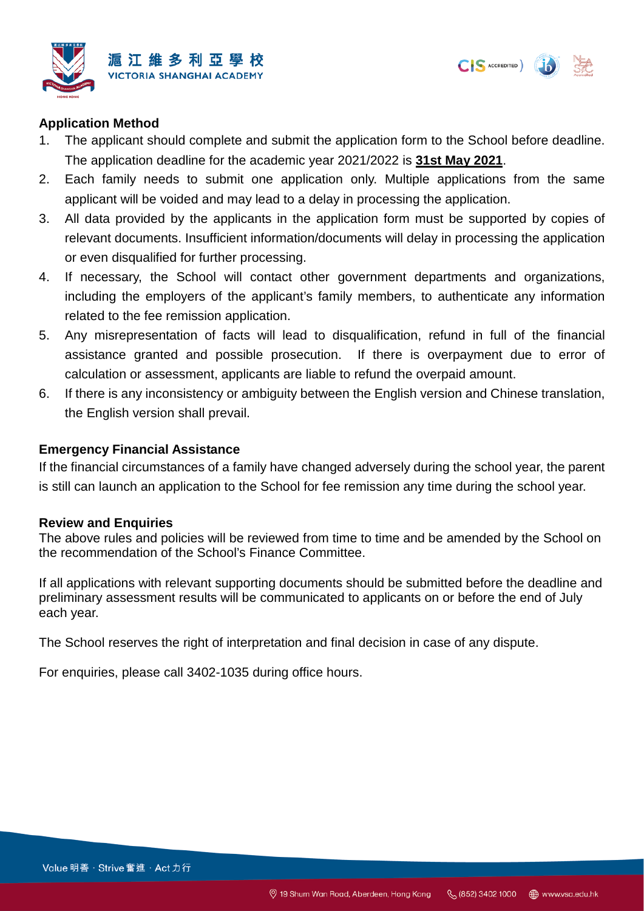



## **Application Method**

- 1. The applicant should complete and submit the application form to the School before deadline. The application deadline for the academic year 2021/2022 is **31st May 2021**.
- 2. Each family needs to submit one application only. Multiple applications from the same applicant will be voided and may lead to a delay in processing the application.
- 3. All data provided by the applicants in the application form must be supported by copies of relevant documents. Insufficient information/documents will delay in processing the application or even disqualified for further processing.
- 4. If necessary, the School will contact other government departments and organizations, including the employers of the applicant's family members, to authenticate any information related to the fee remission application.
- 5. Any misrepresentation of facts will lead to disqualification, refund in full of the financial assistance granted and possible prosecution. If there is overpayment due to error of calculation or assessment, applicants are liable to refund the overpaid amount.
- 6. If there is any inconsistency or ambiguity between the English version and Chinese translation, the English version shall prevail.

### **Emergency Financial Assistance**

If the financial circumstances of a family have changed adversely during the school year, the parent is still can launch an application to the School for fee remission any time during the school year.

#### **Review and Enquiries**

The above rules and policies will be reviewed from time to time and be amended by the School on the recommendation of the School's Finance Committee.

If all applications with relevant supporting documents should be submitted before the deadline and preliminary assessment results will be communicated to applicants on or before the end of July each year.

The School reserves the right of interpretation and final decision in case of any dispute.

For enquiries, please call 3402-1035 during office hours.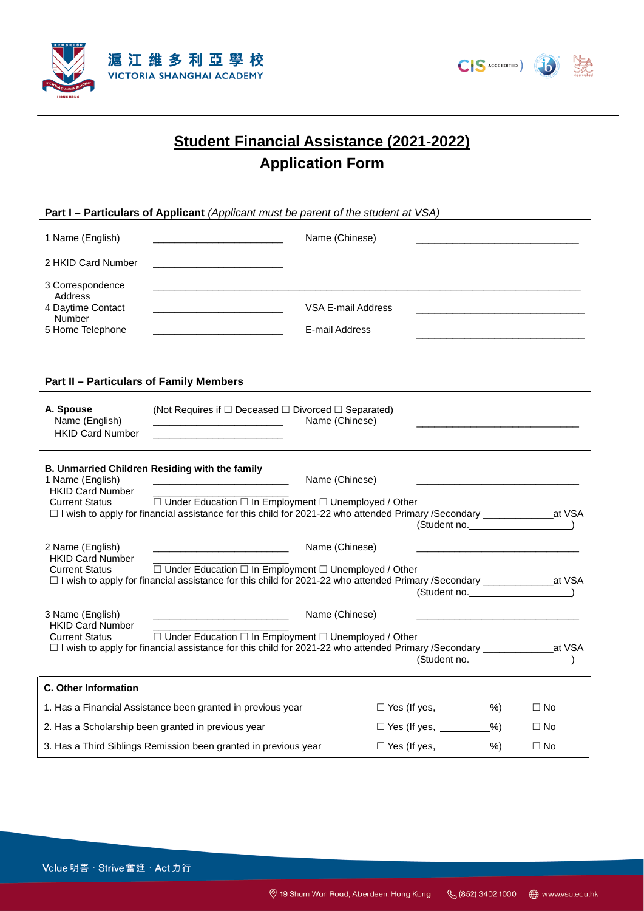



## **Student Financial Assistance (2021-2022) Application Form**

#### **Part I – Particulars of Applicant** *(Applicant must be parent of the student at VSA)*

| 1 Name (English)                                                               | Name (Chinese)                       |  |
|--------------------------------------------------------------------------------|--------------------------------------|--|
| 2 HKID Card Number                                                             |                                      |  |
| 3 Correspondence<br>Address<br>4 Daytime Contact<br>Number<br>5 Home Telephone | VSA E-mail Address<br>E-mail Address |  |

#### **Part II – Particulars of Family Members**

ľ

| A. Spouse<br>Name (English)<br><b>HKID Card Number</b>                                                          | (Not Requires if $\Box$ Deceased $\Box$ Divorced $\Box$ Separated)<br>Name (Chinese)                                                                                                                                                                                                                                                              |                                 |                                 |                |  |  |
|-----------------------------------------------------------------------------------------------------------------|---------------------------------------------------------------------------------------------------------------------------------------------------------------------------------------------------------------------------------------------------------------------------------------------------------------------------------------------------|---------------------------------|---------------------------------|----------------|--|--|
| 1 Name (English)<br><b>HKID Card Number</b>                                                                     | <b>B. Unmarried Children Residing with the family</b><br>Name (Chinese)<br>Current Status □ Under Education □ In Employment □ Unemployed / Other<br>□ I wish to apply for financial assistance for this child for 2021-22 who attended Primary /Secondary __________________at VSA                                                                |                                 |                                 | (Student no. ) |  |  |
| 2 Name (English)<br><b>HKID Card Number</b><br><b>Current Status</b>                                            | Name (Chinese)<br>$\Box$ Under Education $\Box$ In Employment $\Box$ Unemployed / Other<br>□ I wish to apply for financial assistance for this child for 2021-22 who attended Primary /Secondary _____________________at VSA                                                                                                                      |                                 |                                 | (Student no. ) |  |  |
| 3 Name (English)<br><b>HKID Card Number</b><br><b>Current Status</b>                                            | Name (Chinese)<br><u> 1989 - Johann John Harry Harry Harry Harry Harry Harry Harry Harry Harry Harry Harry Harry Harry Harry Harry H</u><br>$\Box$ Under Education $\Box$ In Employment $\Box$ Unemployed / Other<br>□ I wish to apply for financial assistance for this child for 2021-22 who attended Primary /Secondary ________________at VSA |                                 |                                 | (Student no. ) |  |  |
| C. Other Information                                                                                            |                                                                                                                                                                                                                                                                                                                                                   |                                 |                                 |                |  |  |
|                                                                                                                 | 1. Has a Financial Assistance been granted in previous year                                                                                                                                                                                                                                                                                       | $\Box$ Yes (If yes, _________%) |                                 | $\Box$ No      |  |  |
| 2. Has a Scholarship been granted in previous year                                                              |                                                                                                                                                                                                                                                                                                                                                   |                                 | $\Box$ Yes (If yes, _________%) | $\Box$ No      |  |  |
| $\Box$ Yes (If yes, _________%)<br>3. Has a Third Siblings Remission been granted in previous year<br>$\Box$ No |                                                                                                                                                                                                                                                                                                                                                   |                                 |                                 |                |  |  |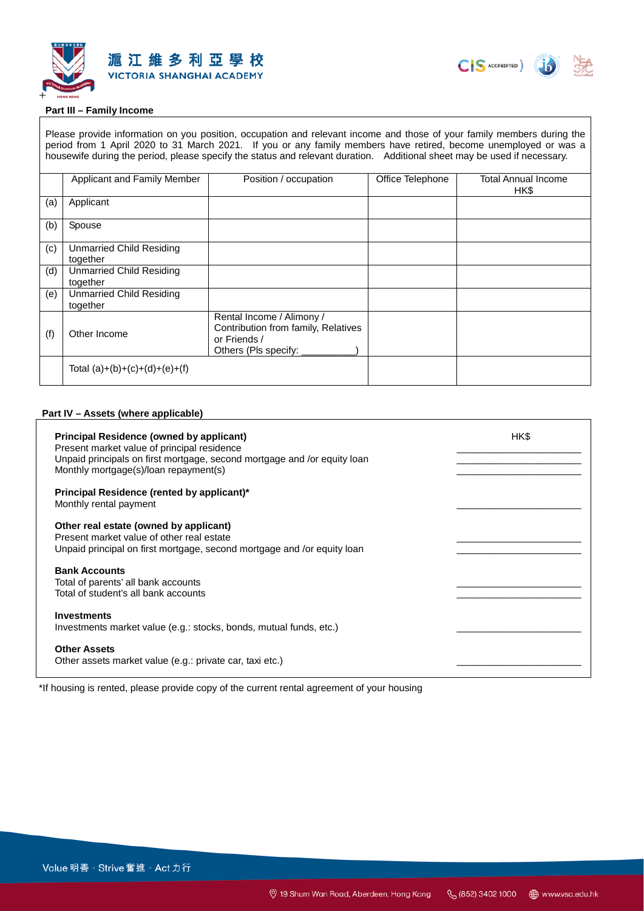



#### **Part III – Family Income**

Please provide information on you position, occupation and relevant income and those of your family members during the period from 1 April 2020 to 31 March 2021. If you or any family members have retired, become unemployed or was a housewife during the period, please specify the status and relevant duration. Additional sheet may be used if necessary.

|     | Applicant and Family Member                 | Position / occupation                                                                                    | Office Telephone | Total Annual Income<br>HK\$ |
|-----|---------------------------------------------|----------------------------------------------------------------------------------------------------------|------------------|-----------------------------|
| (a) | Applicant                                   |                                                                                                          |                  |                             |
| (b) | Spouse                                      |                                                                                                          |                  |                             |
| (c) | <b>Unmarried Child Residing</b><br>together |                                                                                                          |                  |                             |
| (d) | <b>Unmarried Child Residing</b><br>together |                                                                                                          |                  |                             |
| (e) | <b>Unmarried Child Residing</b><br>together |                                                                                                          |                  |                             |
| (f) | Other Income                                | Rental Income / Alimony /<br>Contribution from family, Relatives<br>or Friends /<br>Others (Pls specify: |                  |                             |
|     | Total $(a)+(b)+(c)+(d)+(e)+(f)$             |                                                                                                          |                  |                             |

#### **Part IV – Assets (where applicable)**

| <b>Principal Residence (owned by applicant)</b><br>Present market value of principal residence<br>Unpaid principals on first mortgage, second mortgage and /or equity loan<br>Monthly mortgage(s)/loan repayment(s) | HK\$ |
|---------------------------------------------------------------------------------------------------------------------------------------------------------------------------------------------------------------------|------|
| Principal Residence (rented by applicant)*<br>Monthly rental payment                                                                                                                                                |      |
| Other real estate (owned by applicant)<br>Present market value of other real estate<br>Unpaid principal on first mortgage, second mortgage and /or equity loan                                                      |      |
| <b>Bank Accounts</b><br>Total of parents' all bank accounts<br>Total of student's all bank accounts                                                                                                                 |      |
| <b>Investments</b><br>Investments market value (e.g.: stocks, bonds, mutual funds, etc.)                                                                                                                            |      |
| <b>Other Assets</b><br>Other assets market value (e.g.: private car, taxi etc.)                                                                                                                                     |      |

\*If housing is rented, please provide copy of the current rental agreement of your housing